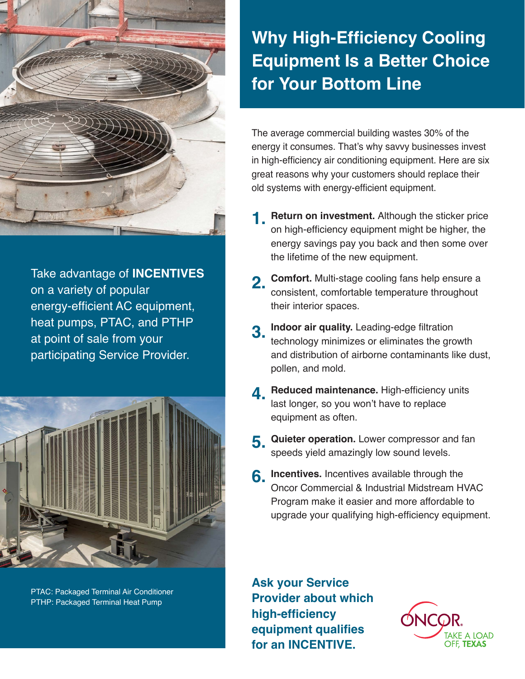

Take advantage of **INCENTIVES** on a variety of popular energy-efficient AC equipment, heat pumps, PTAC, and PTHP at point of sale from your participating Service Provider.



PTAC: Packaged Terminal Air Conditioner PTHP: Packaged Terminal Heat Pump

## **Why High-Efficiency Cooling Equipment Is a Better Choice for Your Bottom Line**

The average commercial building wastes 30% of the energy it consumes. That's why savvy businesses invest in high-efficiency air conditioning equipment. Here are six great reasons why your customers should replace their old systems with energy-efficient equipment.

- **1. Return on investment.** Although the sticker price<br> **1.** Sp bigh officional aguinment might be bigher, the on high-efficiency equipment might be higher, the energy savings pay you back and then some over the lifetime of the new equipment.
- **2. Comfort.** Multi-stage cooling fans help ensure a<br>consistent comfortable temperature throughout consistent, comfortable temperature throughout their interior spaces.
- **Indoor air quality.** Leading-edge filtration technology minimizes or eliminates the growth and distribution of airborne contaminants like dust, pollen, and mold. **3.**
- **4.** Reduced maintenance. High-efficiency units<br>Last longer, so you won't have to replace last longer, so you won't have to replace equipment as often.
- **Quieter operation.** Lower compressor and fan speeds yield amazingly low sound levels. **5.**
- **6.** Incentives. Incentives available through the **6.** Open: Commercial 8, Industrial Midstream HV Oncor Commercial & Industrial Midstream HVAC Program make it easier and more affordable to upgrade your qualifying high-efficiency equipment.

**Ask your Service Provider about which high-efficiency equipment qualifies for an INCENTIVE.**